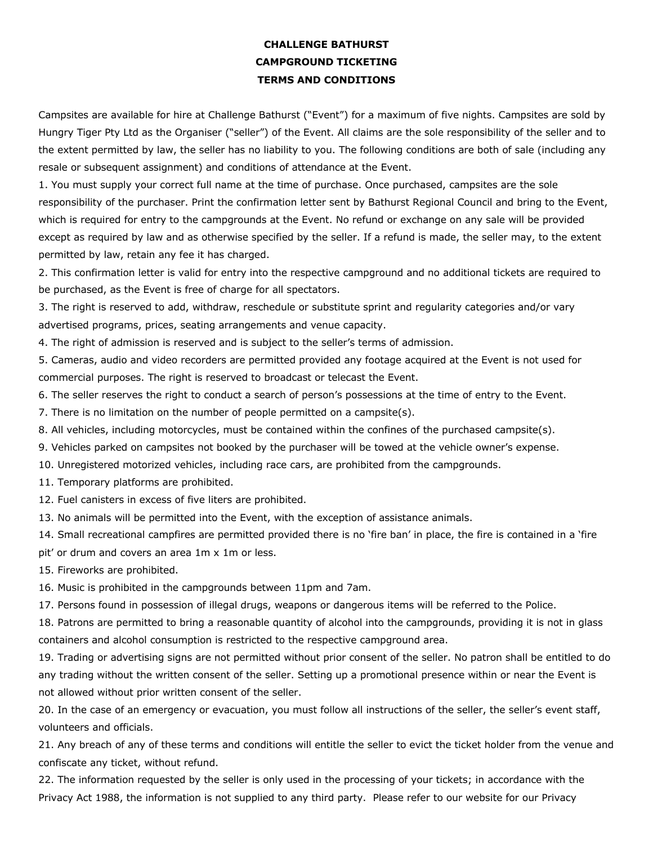## **CHALLENGE BATHURST CAMPGROUND TICKETING TERMS AND CONDITIONS**

Campsites are available for hire at Challenge Bathurst ("Event") for a maximum of five nights. Campsites are sold by Hungry Tiger Pty Ltd as the Organiser ("seller") of the Event. All claims are the sole responsibility of the seller and to the extent permitted by law, the seller has no liability to you. The following conditions are both of sale (including any resale or subsequent assignment) and conditions of attendance at the Event.

1. You must supply your correct full name at the time of purchase. Once purchased, campsites are the sole responsibility of the purchaser. Print the confirmation letter sent by Bathurst Regional Council and bring to the Event, which is required for entry to the campgrounds at the Event. No refund or exchange on any sale will be provided except as required by law and as otherwise specified by the seller. If a refund is made, the seller may, to the extent permitted by law, retain any fee it has charged.

2. This confirmation letter is valid for entry into the respective campground and no additional tickets are required to be purchased, as the Event is free of charge for all spectators.

3. The right is reserved to add, withdraw, reschedule or substitute sprint and regularity categories and/or vary advertised programs, prices, seating arrangements and venue capacity.

4. The right of admission is reserved and is subject to the seller's terms of admission.

5. Cameras, audio and video recorders are permitted provided any footage acquired at the Event is not used for commercial purposes. The right is reserved to broadcast or telecast the Event.

- 6. The seller reserves the right to conduct a search of person's possessions at the time of entry to the Event.
- 7. There is no limitation on the number of people permitted on a campsite(s).
- 8. All vehicles, including motorcycles, must be contained within the confines of the purchased campsite(s).
- 9. Vehicles parked on campsites not booked by the purchaser will be towed at the vehicle owner's expense.
- 10. Unregistered motorized vehicles, including race cars, are prohibited from the campgrounds.
- 11. Temporary platforms are prohibited.
- 12. Fuel canisters in excess of five liters are prohibited.
- 13. No animals will be permitted into the Event, with the exception of assistance animals.

14. Small recreational campfires are permitted provided there is no 'fire ban' in place, the fire is contained in a 'fire pit' or drum and covers an area 1m x 1m or less.

15. Fireworks are prohibited.

16. Music is prohibited in the campgrounds between 11pm and 7am.

17. Persons found in possession of illegal drugs, weapons or dangerous items will be referred to the Police.

18. Patrons are permitted to bring a reasonable quantity of alcohol into the campgrounds, providing it is not in glass containers and alcohol consumption is restricted to the respective campground area.

19. Trading or advertising signs are not permitted without prior consent of the seller. No patron shall be entitled to do any trading without the written consent of the seller. Setting up a promotional presence within or near the Event is not allowed without prior written consent of the seller.

20. In the case of an emergency or evacuation, you must follow all instructions of the seller, the seller's event staff, volunteers and officials.

21. Any breach of any of these terms and conditions will entitle the seller to evict the ticket holder from the venue and confiscate any ticket, without refund.

22. The information requested by the seller is only used in the processing of your tickets; in accordance with the Privacy Act 1988, the information is not supplied to any third party. Please refer to our website for our Privacy